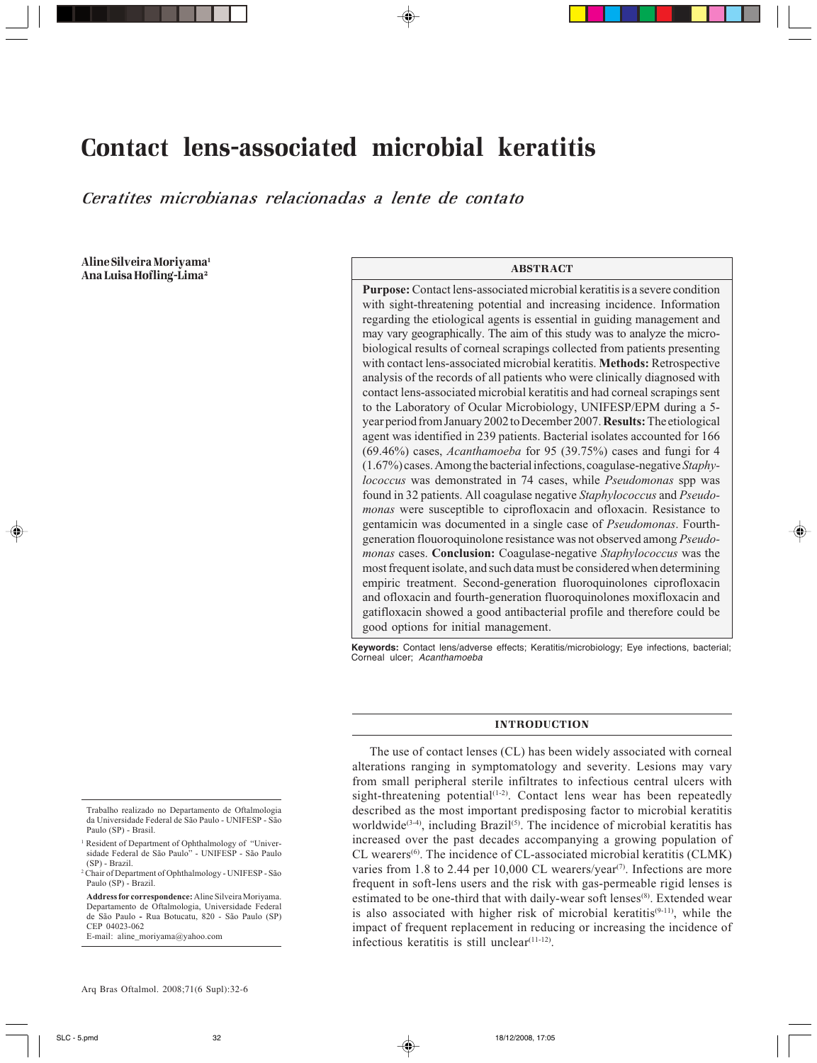# Contact lens-associated microbial keratitis

*Ceratites microbianas relacionadas a lente de contato*

Aline Silveira Moriyama<sup>1</sup> Ana Luisa Hofling-Lima2

## ABSTRACT

**Purpose:** Contact lens-associated microbial keratitis is a severe condition with sight-threatening potential and increasing incidence. Information regarding the etiological agents is essential in guiding management and may vary geographically. The aim of this study was to analyze the microbiological results of corneal scrapings collected from patients presenting with contact lens-associated microbial keratitis. **Methods:** Retrospective analysis of the records of all patients who were clinically diagnosed with contact lens-associated microbial keratitis and had corneal scrapings sent to the Laboratory of Ocular Microbiology, UNIFESP/EPM during a 5 year period from January 2002 to December 2007. **Results:** The etiological agent was identified in 239 patients. Bacterial isolates accounted for 166 (69.46%) cases, *Acanthamoeba* for 95 (39.75%) cases and fungi for 4 (1.67%) cases. Among the bacterial infections, coagulase-negative *Staphylococcus* was demonstrated in 74 cases, while *Pseudomonas* spp was found in 32 patients. All coagulase negative *Staphylococcus* and *Pseudomonas* were susceptible to ciprofloxacin and ofloxacin. Resistance to gentamicin was documented in a single case of *Pseudomonas*. Fourthgeneration flouoroquinolone resistance was not observed among *Pseudomonas* cases. **Conclusion:** Coagulase-negative *Staphylococcus* was the most frequent isolate, and such data must be considered when determining empiric treatment. Second-generation fluoroquinolones ciprofloxacin and ofloxacin and fourth-generation fluoroquinolones moxifloxacin and gatifloxacin showed a good antibacterial profile and therefore could be good options for initial management.

**Keywords:** Contact lens/adverse effects; Keratitis/microbiology; Eye infections, bacterial; Corneal ulcer; Acanthamoeba

#### INTRODUCTION

The use of contact lenses (CL) has been widely associated with corneal alterations ranging in symptomatology and severity. Lesions may vary from small peripheral sterile infiltrates to infectious central ulcers with sight-threatening potential $(1-2)$ . Contact lens wear has been repeatedly described as the most important predisposing factor to microbial keratitis worldwide<sup>(3-4)</sup>, including Brazil<sup>(5)</sup>. The incidence of microbial keratitis has increased over the past decades accompanying a growing population of CL wearers<sup>(6)</sup>. The incidence of CL-associated microbial keratitis (CLMK) varies from 1.8 to 2.44 per 10,000 CL wearers/year<sup>(7)</sup>. Infections are more frequent in soft-lens users and the risk with gas-permeable rigid lenses is estimated to be one-third that with daily-wear soft lenses<sup>(8)</sup>. Extended wear is also associated with higher risk of microbial keratitis<sup>(9-11)</sup>, while the impact of frequent replacement in reducing or increasing the incidence of infectious keratitis is still unclear $(11-12)$ .

**Address for correspondence:** Aline Silveira Moriyama. Departamento de Oftalmologia, Universidade Federal de São Paulo **-** Rua Botucatu, 820 - São Paulo (SP) CEP 04023-062

Trabalho realizado no Departamento de Oftalmologia da Universidade Federal de São Paulo - UNIFESP - São Paulo (SP) - Brasil.

<sup>&</sup>lt;sup>1</sup> Resident of Department of Ophthalmology of "Universidade Federal de São Paulo" - UNIFESP - São Paulo (SP) - Brazil.

<sup>2</sup> Chair of Department of Ophthalmology - UNIFESP - São Paulo (SP) - Brazil.

E-mail: aline\_moriyama@yahoo.com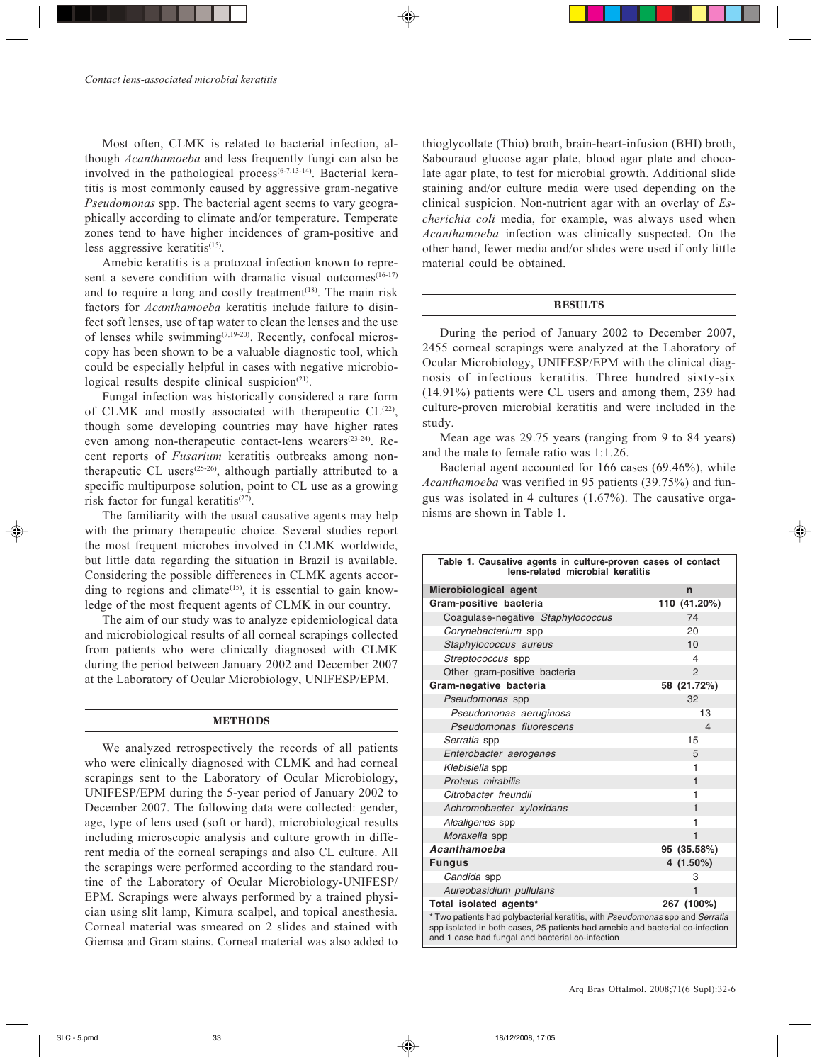Most often, CLMK is related to bacterial infection, although *Acanthamoeba* and less frequently fungi can also be involved in the pathological process<sup> $(6-7,13-14)$ </sup>. Bacterial keratitis is most commonly caused by aggressive gram-negative *Pseudomonas* spp. The bacterial agent seems to vary geographically according to climate and/or temperature. Temperate zones tend to have higher incidences of gram-positive and less aggressive keratitis $(15)$ .

Amebic keratitis is a protozoal infection known to represent a severe condition with dramatic visual outcomes<sup>(16-17)</sup> and to require a long and costly treatment $(18)$ . The main risk factors for *Acanthamoeba* keratitis include failure to disinfect soft lenses, use of tap water to clean the lenses and the use of lenses while swimming<sup>(7,19-20)</sup>. Recently, confocal microscopy has been shown to be a valuable diagnostic tool, which could be especially helpful in cases with negative microbiological results despite clinical suspicion<sup>(21)</sup>.

Fungal infection was historically considered a rare form of CLMK and mostly associated with therapeutic  $CL^{(22)}$ , though some developing countries may have higher rates even among non-therapeutic contact-lens wearers<sup>(23-24)</sup>. Recent reports of *Fusarium* keratitis outbreaks among nontherapeutic CL users(25-26), although partially attributed to a specific multipurpose solution, point to CL use as a growing risk factor for fungal keratitis $(27)$ .

The familiarity with the usual causative agents may help with the primary therapeutic choice. Several studies report the most frequent microbes involved in CLMK worldwide, but little data regarding the situation in Brazil is available. Considering the possible differences in CLMK agents according to regions and climate<sup>(15)</sup>, it is essential to gain knowledge of the most frequent agents of CLMK in our country.

The aim of our study was to analyze epidemiological data and microbiological results of all corneal scrapings collected from patients who were clinically diagnosed with CLMK during the period between January 2002 and December 2007 at the Laboratory of Ocular Microbiology, UNIFESP/EPM.

## **METHODS**

We analyzed retrospectively the records of all patients who were clinically diagnosed with CLMK and had corneal scrapings sent to the Laboratory of Ocular Microbiology, UNIFESP/EPM during the 5-year period of January 2002 to December 2007. The following data were collected: gender, age, type of lens used (soft or hard), microbiological results including microscopic analysis and culture growth in different media of the corneal scrapings and also CL culture. All the scrapings were performed according to the standard routine of the Laboratory of Ocular Microbiology-UNIFESP/ EPM. Scrapings were always performed by a trained physician using slit lamp, Kimura scalpel, and topical anesthesia. Corneal material was smeared on 2 slides and stained with Giemsa and Gram stains. Corneal material was also added to

thioglycollate (Thio) broth, brain-heart-infusion (BHI) broth, Sabouraud glucose agar plate, blood agar plate and chocolate agar plate, to test for microbial growth. Additional slide staining and/or culture media were used depending on the clinical suspicion. Non-nutrient agar with an overlay of *Escherichia coli* media, for example, was always used when *Acanthamoeba* infection was clinically suspected. On the other hand, fewer media and/or slides were used if only little material could be obtained.

#### **RESULTS**

During the period of January 2002 to December 2007, 2455 corneal scrapings were analyzed at the Laboratory of Ocular Microbiology, UNIFESP/EPM with the clinical diagnosis of infectious keratitis. Three hundred sixty-six (14.91%) patients were CL users and among them, 239 had culture-proven microbial keratitis and were included in the study.

Mean age was 29.75 years (ranging from 9 to 84 years) and the male to female ratio was 1:1.26.

Bacterial agent accounted for 166 cases (69.46%), while *Acanthamoeba* was verified in 95 patients (39.75%) and fungus was isolated in 4 cultures (1.67%). The causative organisms are shown in Table 1.

| Table 1. Causative agents in culture-proven cases of contact<br>lens-related microbial keratitis                                                                                                                   |                          |  |
|--------------------------------------------------------------------------------------------------------------------------------------------------------------------------------------------------------------------|--------------------------|--|
| Microbiological agent                                                                                                                                                                                              | n                        |  |
| Gram-positive bacteria                                                                                                                                                                                             | 110 (41.20%)             |  |
| Coagulase-negative Staphylococcus                                                                                                                                                                                  | 74                       |  |
| Corynebacterium spp                                                                                                                                                                                                | 20                       |  |
| Staphylococcus aureus                                                                                                                                                                                              | 10                       |  |
| Streptococcus spp                                                                                                                                                                                                  | 4                        |  |
| Other gram-positive bacteria                                                                                                                                                                                       | $\overline{2}$           |  |
| Gram-negative bacteria                                                                                                                                                                                             | 58 (21.72%)              |  |
| Pseudomonas spp                                                                                                                                                                                                    | 32                       |  |
| Pseudomonas aeruginosa                                                                                                                                                                                             | 13                       |  |
| Pseudomonas fluorescens                                                                                                                                                                                            | $\overline{\mathcal{L}}$ |  |
| Serratia spp                                                                                                                                                                                                       | 15                       |  |
| Enterobacter aerogenes                                                                                                                                                                                             | 5                        |  |
| Klebisiella spp                                                                                                                                                                                                    | 1                        |  |
| Proteus mirabilis                                                                                                                                                                                                  | 1                        |  |
| Citrobacter freundii                                                                                                                                                                                               | 1                        |  |
| Achromobacter xyloxidans                                                                                                                                                                                           | 1                        |  |
| Alcaligenes spp                                                                                                                                                                                                    | 1                        |  |
| Moraxella spp                                                                                                                                                                                                      | 1                        |  |
| Acanthamoeba                                                                                                                                                                                                       | 95 (35.58%)              |  |
| <b>Fungus</b>                                                                                                                                                                                                      | 4 (1.50%)                |  |
| Candida spp                                                                                                                                                                                                        | 3                        |  |
| Aureobasidium pullulans                                                                                                                                                                                            | $\mathbf{1}$             |  |
| Total isolated agents*                                                                                                                                                                                             | 267 (100%)               |  |
| * Two patients had polybacterial keratitis, with Pseudomonas spp and Serratia<br>spp isolated in both cases, 25 patients had amebic and bacterial co-infection<br>and 1 case had fungal and bacterial co-infection |                          |  |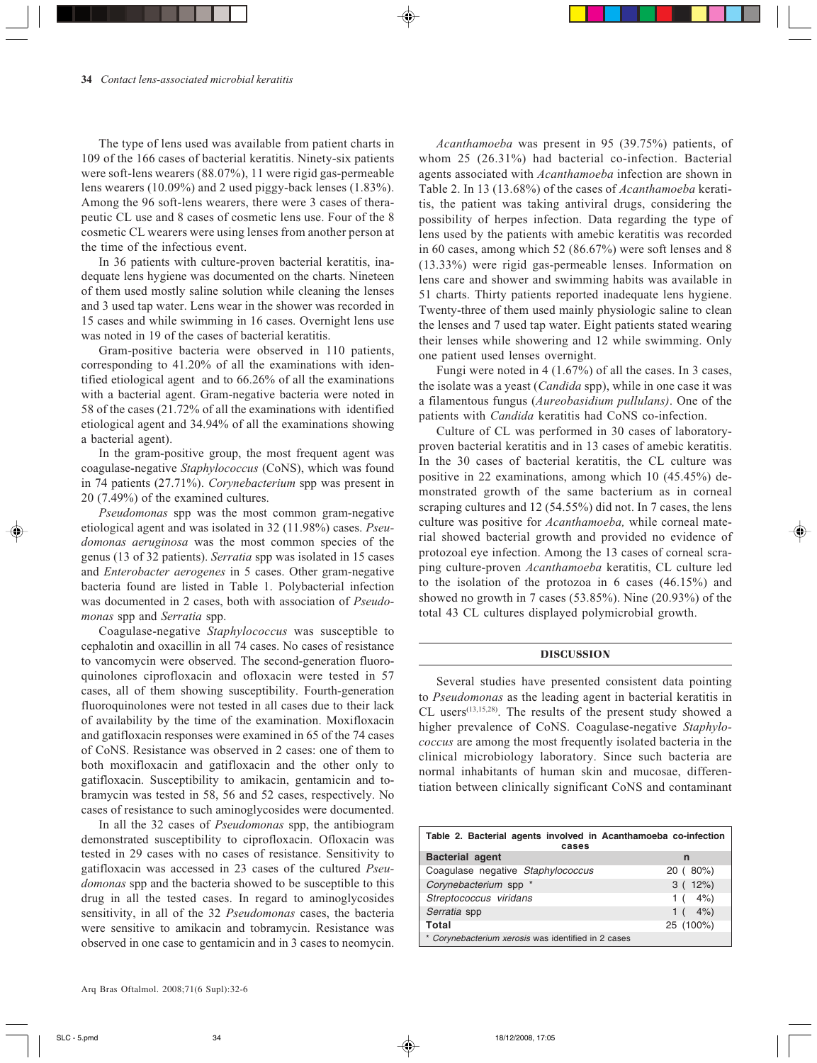The type of lens used was available from patient charts in 109 of the 166 cases of bacterial keratitis. Ninety-six patients were soft-lens wearers (88.07%), 11 were rigid gas-permeable lens wearers (10.09%) and 2 used piggy-back lenses (1.83%). Among the 96 soft-lens wearers, there were 3 cases of therapeutic CL use and 8 cases of cosmetic lens use. Four of the 8 cosmetic CL wearers were using lenses from another person at the time of the infectious event.

In 36 patients with culture-proven bacterial keratitis, inadequate lens hygiene was documented on the charts. Nineteen of them used mostly saline solution while cleaning the lenses and 3 used tap water. Lens wear in the shower was recorded in 15 cases and while swimming in 16 cases. Overnight lens use was noted in 19 of the cases of bacterial keratitis.

Gram-positive bacteria were observed in 110 patients, corresponding to 41.20% of all the examinations with identified etiological agent and to 66.26% of all the examinations with a bacterial agent. Gram-negative bacteria were noted in 58 of the cases (21.72% of all the examinations with identified etiological agent and 34.94% of all the examinations showing a bacterial agent).

In the gram-positive group, the most frequent agent was coagulase-negative *Staphylococcus* (CoNS), which was found in 74 patients (27.71%). *Corynebacterium* spp was present in 20 (7.49%) of the examined cultures.

*Pseudomonas* spp was the most common gram-negative etiological agent and was isolated in 32 (11.98%) cases. *Pseudomonas aeruginosa* was the most common species of the genus (13 of 32 patients). *Serratia* spp was isolated in 15 cases and *Enterobacter aerogenes* in 5 cases. Other gram-negative bacteria found are listed in Table 1. Polybacterial infection was documented in 2 cases, both with association of *Pseudomonas* spp and *Serratia* spp.

Coagulase-negative *Staphylococcus* was susceptible to cephalotin and oxacillin in all 74 cases. No cases of resistance to vancomycin were observed. The second-generation fluoroquinolones ciprofloxacin and ofloxacin were tested in 57 cases, all of them showing susceptibility. Fourth-generation fluoroquinolones were not tested in all cases due to their lack of availability by the time of the examination. Moxifloxacin and gatifloxacin responses were examined in 65 of the 74 cases of CoNS. Resistance was observed in 2 cases: one of them to both moxifloxacin and gatifloxacin and the other only to gatifloxacin. Susceptibility to amikacin, gentamicin and tobramycin was tested in 58, 56 and 52 cases, respectively. No cases of resistance to such aminoglycosides were documented.

In all the 32 cases of *Pseudomonas* spp, the antibiogram demonstrated susceptibility to ciprofloxacin. Ofloxacin was tested in 29 cases with no cases of resistance. Sensitivity to gatifloxacin was accessed in 23 cases of the cultured *Pseudomonas* spp and the bacteria showed to be susceptible to this drug in all the tested cases. In regard to aminoglycosides sensitivity, in all of the 32 *Pseudomonas* cases, the bacteria were sensitive to amikacin and tobramycin. Resistance was observed in one case to gentamicin and in 3 cases to neomycin.

*Acanthamoeba* was present in 95 (39.75%) patients, of whom 25 (26.31%) had bacterial co-infection. Bacterial agents associated with *Acanthamoeba* infection are shown in Table 2. In 13 (13.68%) of the cases of *Acanthamoeba* keratitis, the patient was taking antiviral drugs, considering the possibility of herpes infection. Data regarding the type of lens used by the patients with amebic keratitis was recorded in 60 cases, among which 52 (86.67%) were soft lenses and 8 (13.33%) were rigid gas-permeable lenses. Information on lens care and shower and swimming habits was available in 51 charts. Thirty patients reported inadequate lens hygiene. Twenty-three of them used mainly physiologic saline to clean the lenses and 7 used tap water. Eight patients stated wearing their lenses while showering and 12 while swimming. Only one patient used lenses overnight.

Fungi were noted in 4 (1.67%) of all the cases. In 3 cases, the isolate was a yeast (*Candida* spp), while in one case it was a filamentous fungus (*Aureobasidium pullulans)*. One of the patients with *Candida* keratitis had CoNS co-infection.

Culture of CL was performed in 30 cases of laboratoryproven bacterial keratitis and in 13 cases of amebic keratitis. In the 30 cases of bacterial keratitis, the CL culture was positive in 22 examinations, among which 10 (45.45%) demonstrated growth of the same bacterium as in corneal scraping cultures and 12 (54.55%) did not. In 7 cases, the lens culture was positive for *Acanthamoeba,* while corneal material showed bacterial growth and provided no evidence of protozoal eye infection. Among the 13 cases of corneal scraping culture-proven *Acanthamoeba* keratitis, CL culture led to the isolation of the protozoa in 6 cases (46.15%) and showed no growth in 7 cases (53.85%). Nine (20.93%) of the total 43 CL cultures displayed polymicrobial growth.

#### DISCUSSION

Several studies have presented consistent data pointing to *Pseudomonas* as the leading agent in bacterial keratitis in CL users<sup>(13,15,28)</sup>. The results of the present study showed a higher prevalence of CoNS. Coagulase-negative *Staphylococcus* are among the most frequently isolated bacteria in the clinical microbiology laboratory. Since such bacteria are normal inhabitants of human skin and mucosae, differentiation between clinically significant CoNS and contaminant

| Table 2. Bacterial agents involved in Acanthamoeba co-infection<br>cases |           |  |
|--------------------------------------------------------------------------|-----------|--|
| <b>Bacterial agent</b>                                                   | n         |  |
| Coagulase negative Staphylococcus                                        | 20 (80%)  |  |
| Corynebacterium spp *                                                    | 3(12%)    |  |
| Streptococcus viridans                                                   | 1 $(4\%)$ |  |
| Serratia spp                                                             | 1 $(4\%)$ |  |
| Total                                                                    | 25 (100%) |  |
| * Corvnebacterium xerosis was identified in 2 cases                      |           |  |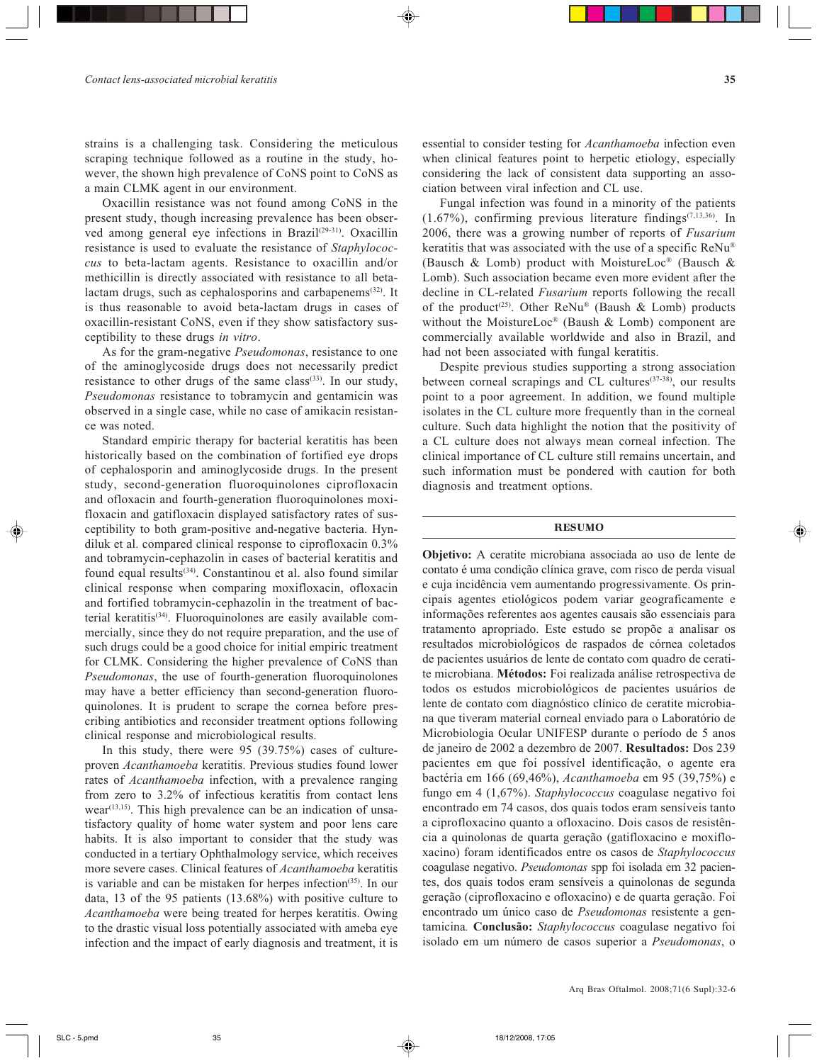strains is a challenging task. Considering the meticulous scraping technique followed as a routine in the study, however, the shown high prevalence of CoNS point to CoNS as a main CLMK agent in our environment.

Oxacillin resistance was not found among CoNS in the present study, though increasing prevalence has been observed among general eye infections in Brazil<sup>(29-31)</sup>. Oxacillin resistance is used to evaluate the resistance of *Staphylococcus* to beta-lactam agents. Resistance to oxacillin and/or methicillin is directly associated with resistance to all betalactam drugs, such as cephalosporins and carbapenems(32). It is thus reasonable to avoid beta-lactam drugs in cases of oxacillin-resistant CoNS, even if they show satisfactory susceptibility to these drugs *in vitro*.

As for the gram-negative *Pseudomonas*, resistance to one of the aminoglycoside drugs does not necessarily predict resistance to other drugs of the same class<sup>(33)</sup>. In our study, *Pseudomonas* resistance to tobramycin and gentamicin was observed in a single case, while no case of amikacin resistance was noted.

Standard empiric therapy for bacterial keratitis has been historically based on the combination of fortified eye drops of cephalosporin and aminoglycoside drugs. In the present study, second-generation fluoroquinolones ciprofloxacin and ofloxacin and fourth-generation fluoroquinolones moxifloxacin and gatifloxacin displayed satisfactory rates of susceptibility to both gram-positive and-negative bacteria. Hyndiluk et al. compared clinical response to ciprofloxacin 0.3% and tobramycin-cephazolin in cases of bacterial keratitis and found equal results<sup>(34)</sup>. Constantinou et al. also found similar clinical response when comparing moxifloxacin, ofloxacin and fortified tobramycin-cephazolin in the treatment of bacterial keratitis<sup>(34)</sup>. Fluoroquinolones are easily available commercially, since they do not require preparation, and the use of such drugs could be a good choice for initial empiric treatment for CLMK. Considering the higher prevalence of CoNS than *Pseudomonas*, the use of fourth-generation fluoroquinolones may have a better efficiency than second-generation fluoroquinolones. It is prudent to scrape the cornea before prescribing antibiotics and reconsider treatment options following clinical response and microbiological results.

In this study, there were 95 (39.75%) cases of cultureproven *Acanthamoeba* keratitis. Previous studies found lower rates of *Acanthamoeba* infection, with a prevalence ranging from zero to 3.2% of infectious keratitis from contact lens  $\n *wear*<sup>(13,15)</sup>$ . This high prevalence can be an indication of unsatisfactory quality of home water system and poor lens care habits. It is also important to consider that the study was conducted in a tertiary Ophthalmology service, which receives more severe cases. Clinical features of *Acanthamoeba* keratitis is variable and can be mistaken for herpes infection<sup>(35)</sup>. In our data, 13 of the 95 patients (13.68%) with positive culture to *Acanthamoeba* were being treated for herpes keratitis. Owing to the drastic visual loss potentially associated with ameba eye infection and the impact of early diagnosis and treatment, it is essential to consider testing for *Acanthamoeba* infection even when clinical features point to herpetic etiology, especially considering the lack of consistent data supporting an association between viral infection and CL use.

Fungal infection was found in a minority of the patients (1.67%), confirming previous literature findings<sup>(7,13,36)</sup>. In 2006, there was a growing number of reports of *Fusarium* keratitis that was associated with the use of a specific ReNu® (Bausch & Lomb) product with MoistureLoc® (Bausch & Lomb). Such association became even more evident after the decline in CL-related *Fusarium* reports following the recall of the product<sup>(25)</sup>. Other ReNu® (Baush & Lomb) products without the MoistureLoc® (Baush & Lomb) component are commercially available worldwide and also in Brazil, and had not been associated with fungal keratitis.

Despite previous studies supporting a strong association between corneal scrapings and CL cultures<sup>(37-38)</sup>, our results point to a poor agreement. In addition, we found multiple isolates in the CL culture more frequently than in the corneal culture. Such data highlight the notion that the positivity of a CL culture does not always mean corneal infection. The clinical importance of CL culture still remains uncertain, and such information must be pondered with caution for both diagnosis and treatment options.

## RESUMO

**Objetivo:** A ceratite microbiana associada ao uso de lente de contato é uma condição clínica grave, com risco de perda visual e cuja incidência vem aumentando progressivamente. Os principais agentes etiológicos podem variar geograficamente e informações referentes aos agentes causais são essenciais para tratamento apropriado. Este estudo se propõe a analisar os resultados microbiológicos de raspados de córnea coletados de pacientes usuários de lente de contato com quadro de ceratite microbiana. **Métodos:** Foi realizada análise retrospectiva de todos os estudos microbiológicos de pacientes usuários de lente de contato com diagnóstico clínico de ceratite microbiana que tiveram material corneal enviado para o Laboratório de Microbiologia Ocular UNIFESP durante o período de 5 anos de janeiro de 2002 a dezembro de 2007. **Resultados:** Dos 239 pacientes em que foi possível identificação, o agente era bactéria em 166 (69,46%), *Acanthamoeba* em 95 (39,75%) e fungo em 4 (1,67%). *Staphylococcus* coagulase negativo foi encontrado em 74 casos, dos quais todos eram sensíveis tanto a ciprofloxacino quanto a ofloxacino. Dois casos de resistência a quinolonas de quarta geração (gatifloxacino e moxifloxacino) foram identificados entre os casos de *Staphylococcus* coagulase negativo. *Pseudomonas* spp foi isolada em 32 pacientes, dos quais todos eram sensíveis a quinolonas de segunda geração (ciprofloxacino e ofloxacino) e de quarta geração. Foi encontrado um único caso de *Pseudomonas* resistente a gentamicina*.* **Conclusão:** *Staphylococcus* coagulase negativo foi isolado em um número de casos superior a *Pseudomonas*, o